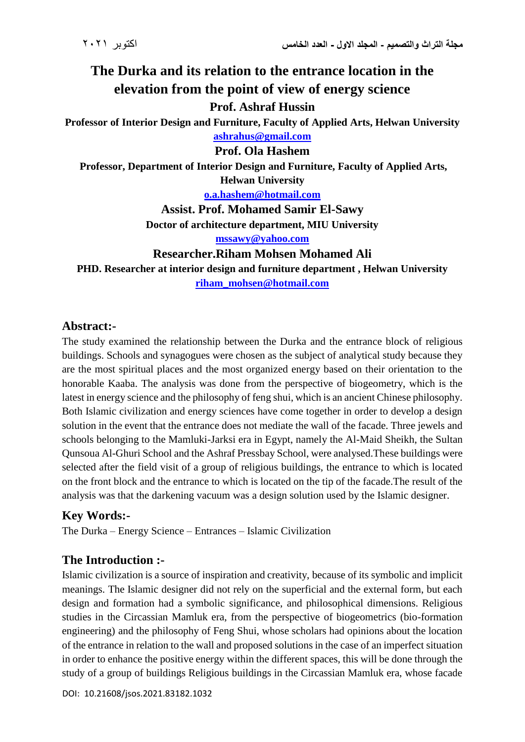# **The Durka and its relation to the entrance location in the elevation from the point of view of energy science Prof. Ashraf Hussin**

**Professor of Interior Design and Furniture, Faculty of Applied Arts, Helwan University [ashrahus@gmail.com](mailto:ashrahus@gmail.com)**

#### **Prof. Ola Hashem**

**Professor, Department of Interior Design and Furniture, Faculty of Applied Arts, Helwan University**

**[o.a.hashem@hotmail.com](mailto:o.a.hashem@hotmail.com)**

**Assist. Prof. Mohamed Samir El-Sawy**

**Doctor of architecture department, MIU University**

**[mssawy@yahoo.com](mailto:mssawy@yahoo.com)**

**Researcher.Riham Mohsen Mohamed Ali**

**PHD. Researcher at interior design and furniture department , Helwan University riham\_mohsen@hotmail.com**

#### **Abstract:-**

The study examined the relationship between the Durka and the entrance block of religious buildings. Schools and synagogues were chosen as the subject of analytical study because they are the most spiritual places and the most organized energy based on their orientation to the honorable Kaaba. The analysis was done from the perspective of biogeometry, which is the latest in energy science and the philosophy of feng shui, which is an ancient Chinese philosophy. Both Islamic civilization and energy sciences have come together in order to develop a design solution in the event that the entrance does not mediate the wall of the facade. Three jewels and schools belonging to the Mamluki-Jarksi era in Egypt, namely the Al-Maid Sheikh, the Sultan Qunsoua Al-Ghuri School and the Ashraf Pressbay School, were analysed.These buildings were selected after the field visit of a group of religious buildings, the entrance to which is located on the front block and the entrance to which is located on the tip of the facade.The result of the analysis was that the darkening vacuum was a design solution used by the Islamic designer.

# **Key Words:-**

The Durka – Energy Science – Entrances – Islamic Civilization

# **The Introduction :-**

Islamic civilization is a source of inspiration and creativity, because of its symbolic and implicit meanings. The Islamic designer did not rely on the superficial and the external form, but each design and formation had a symbolic significance, and philosophical dimensions. Religious studies in the Circassian Mamluk era, from the perspective of biogeometrics (bio-formation engineering) and the philosophy of Feng Shui, whose scholars had opinions about the location of the entrance in relation to the wall and proposed solutions in the case of an imperfect situation in order to enhance the positive energy within the different spaces, this will be done through the study of a group of buildings Religious buildings in the Circassian Mamluk era, whose facade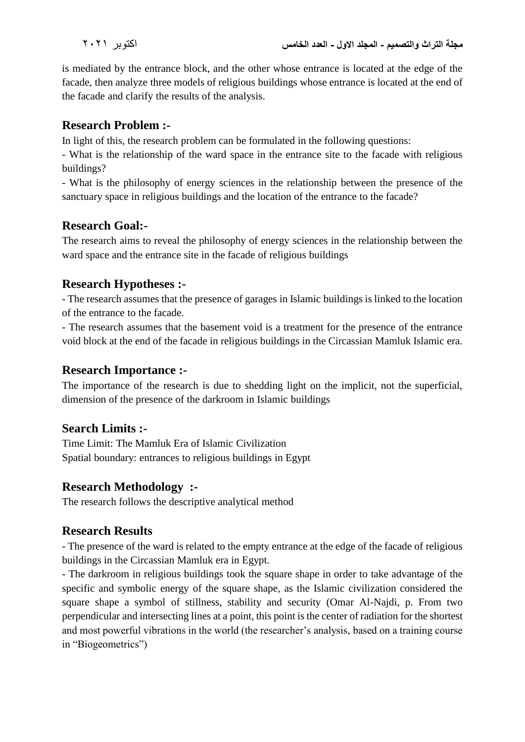is mediated by the entrance block, and the other whose entrance is located at the edge of the facade, then analyze three models of religious buildings whose entrance is located at the end of the facade and clarify the results of the analysis.

### **Research Problem :-**

In light of this, the research problem can be formulated in the following questions:

- What is the relationship of the ward space in the entrance site to the facade with religious buildings?

- What is the philosophy of energy sciences in the relationship between the presence of the sanctuary space in religious buildings and the location of the entrance to the facade?

# **Research Goal:-**

The research aims to reveal the philosophy of energy sciences in the relationship between the ward space and the entrance site in the facade of religious buildings

# **Research Hypotheses :-**

- The research assumes that the presence of garages in Islamic buildings is linked to the location of the entrance to the facade.

- The research assumes that the basement void is a treatment for the presence of the entrance void block at the end of the facade in religious buildings in the Circassian Mamluk Islamic era.

### **Research Importance :-**

The importance of the research is due to shedding light on the implicit, not the superficial, dimension of the presence of the darkroom in Islamic buildings

# **Search Limits :-**

Time Limit: The Mamluk Era of Islamic Civilization Spatial boundary: entrances to religious buildings in Egypt

# **Research Methodology :-**

The research follows the descriptive analytical method

# **Research Results**

- The presence of the ward is related to the empty entrance at the edge of the facade of religious buildings in the Circassian Mamluk era in Egypt.

- The darkroom in religious buildings took the square shape in order to take advantage of the specific and symbolic energy of the square shape, as the Islamic civilization considered the square shape a symbol of stillness, stability and security (Omar Al-Najdi, p. From two perpendicular and intersecting lines at a point, this point is the center of radiation for the shortest and most powerful vibrations in the world (the researcher's analysis, based on a training course in "Biogeometrics")